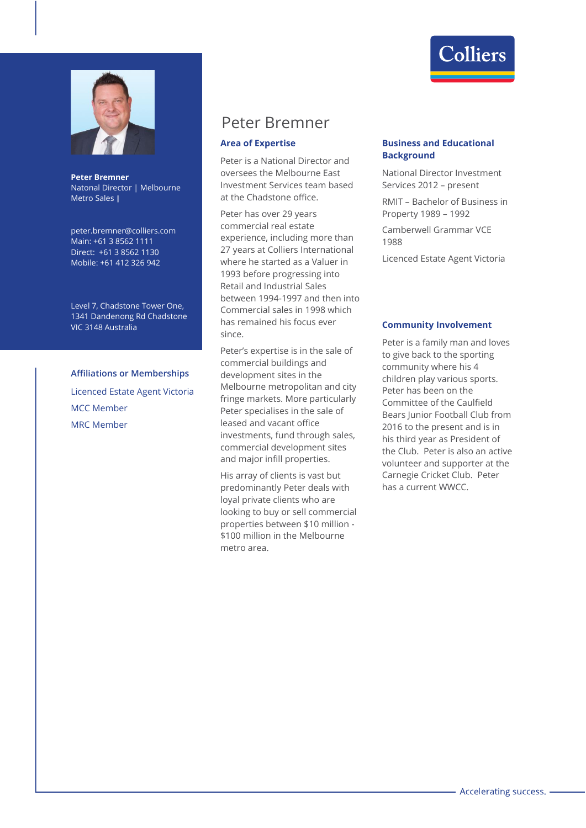



peter.bremner@colliers.com Main: +61 3 8562 1111 Direct: +61 3 8562 1130 Mobile: +61 412 326 942

Level 7, Chadstone Tower One, 1341 Dandenong Rd Chadstone VIC 3148 Australia

## **Affiliations or Memberships**

Licenced Estate Agent Victoria MCC Member MRC Member

# Peter Bremner

#### **Area of Expertise**

Peter is a National Director and oversees the Melbourne East Investment Services team based at the Chadstone office.

Peter has over 29 years commercial real estate experience, including more than 27 years at Colliers International where he started as a Valuer in 1993 before progressing into Retail and Industrial Sales between 1994-1997 and then into Commercial sales in 1998 which has remained his focus ever since.

Peter's expertise is in the sale of commercial buildings and development sites in the Melbourne metropolitan and city fringe markets. More particularly Peter specialises in the sale of leased and vacant office investments, fund through sales, commercial development sites and major infill properties.

His array of clients is vast but predominantly Peter deals with loyal private clients who are looking to buy or sell commercial properties between \$10 million - \$100 million in the Melbourne metro area.



### **Business and Educational Background**

National Director Investment Services 2012 – present

RMIT – Bachelor of Business in Property 1989 – 1992

Camberwell Grammar VCE 1988

Licenced Estate Agent Victoria

#### **Community Involvement**

Peter is a family man and loves to give back to the sporting community where his 4 children play various sports. Peter has been on the Committee of the Caulfield Bears Junior Football Club from 2016 to the present and is in his third year as President of the Club. Peter is also an active volunteer and supporter at the Carnegie Cricket Club. Peter has a current WWCC.